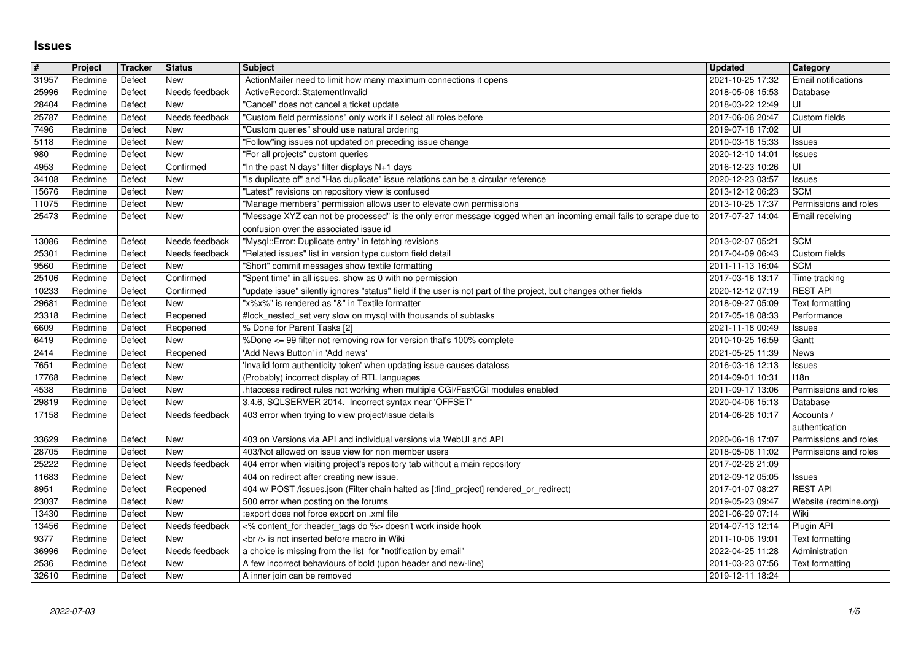## **Issues**

| $\vert$ #      | Project            | Tracker          | <b>Status</b>                    | <b>Subject</b>                                                                                                                         | <b>Updated</b>                                        | Category                          |
|----------------|--------------------|------------------|----------------------------------|----------------------------------------------------------------------------------------------------------------------------------------|-------------------------------------------------------|-----------------------------------|
| 31957          | Redmine            | Defect           | New                              | ActionMailer need to limit how many maximum connections it opens                                                                       | 2021-10-25 17:32                                      | <b>Email notifications</b>        |
| 25996          | Redmine            | Defect           | Needs feedback                   | ActiveRecord::StatementInvalid                                                                                                         | 2018-05-08 15:53                                      | Database                          |
| 28404          | Redmine            | Defect           | <b>New</b>                       | "Cancel" does not cancel a ticket update                                                                                               | 2018-03-22 12:49                                      | UI                                |
| 25787<br>7496  | Redmine<br>Redmine | Defect<br>Defect | Needs feedback<br><b>New</b>     | "Custom field permissions" only work if I select all roles before<br>"Custom queries" should use natural ordering                      | 2017-06-06 20:47<br>2019-07-18 17:02                  | Custom fields<br>UI               |
| 5118           | Redmine            | Defect           | New                              | "Follow"ing issues not updated on preceding issue change                                                                               | 2010-03-18 15:33                                      | <b>Issues</b>                     |
| 980            | Redmine            | Defect           | <b>New</b>                       | "For all projects" custom queries                                                                                                      | 2020-12-10 14:01                                      | <b>Issues</b>                     |
| 4953           | Redmine            | Defect           | Confirmed                        | "In the past N days" filter displays N+1 days                                                                                          | 2016-12-23 10:26                                      | UI                                |
| 34108          | Redmine            | Defect           | <b>New</b>                       | "Is duplicate of" and "Has duplicate" issue relations can be a circular reference                                                      | 2020-12-23 03:57                                      | <b>Issues</b>                     |
| 15676          | Redmine            | Defect           | New                              | "Latest" revisions on repository view is confused                                                                                      | 2013-12-12 06:23                                      | <b>SCM</b>                        |
| 11075          | Redmine            | Defect           | <b>New</b>                       | "Manage members" permission allows user to elevate own permissions                                                                     | 2013-10-25 17:37                                      | Permissions and roles             |
| 25473          | Redmine            | Defect           | <b>New</b>                       | "Message XYZ can not be processed" is the only error message logged when an incoming email fails to scrape due to                      | 2017-07-27 14:04                                      | Email receiving                   |
|                |                    |                  |                                  | confusion over the associated issue id                                                                                                 |                                                       |                                   |
| 13086<br>25301 | Redmine<br>Redmine | Defect<br>Defect | Needs feedback<br>Needs feedback | "Mysql::Error: Duplicate entry" in fetching revisions<br>"Related issues" list in version type custom field detail                     | 2013-02-07 05:21<br>2017-04-09 06:43                  | <b>SCM</b><br>Custom fields       |
| 9560           | Redmine            | Defect           | New                              | "Short" commit messages show textile formatting                                                                                        | 2011-11-13 16:04                                      | <b>SCM</b>                        |
| 25106          | Redmine            | Defect           | Confirmed                        | 'Spent time" in all issues, show as 0 with no permission                                                                               | 2017-03-16 13:17                                      | Time tracking                     |
| 10233          | Redmine            | Defect           | Confirmed                        | 'update issue" silently ignores "status" field if the user is not part of the project, but changes other fields                        | 2020-12-12 07:19                                      | <b>REST API</b>                   |
| 29681          | Redmine            | Defect           | New                              | 'x%x%" is rendered as "&" in Textile formatter                                                                                         | 2018-09-27 05:09                                      | Text formatting                   |
| 23318          | Redmine            | Defect           | Reopened                         | #lock_nested_set very slow on mysql with thousands of subtasks                                                                         | 2017-05-18 08:33                                      | Performance                       |
| 6609           | Redmine            | Defect           | Reopened                         | % Done for Parent Tasks [2]                                                                                                            | 2021-11-18 00:49                                      | <b>Issues</b>                     |
| 6419           | Redmine            | Defect           | <b>New</b>                       | %Done <= 99 filter not removing row for version that's 100% complete                                                                   | 2010-10-25 16:59                                      | Gantt                             |
| 2414           | Redmine            | Defect           | Reopened                         | 'Add News Button' in 'Add news'                                                                                                        | 2021-05-25 11:39                                      | News                              |
| 7651           | Redmine            | Defect           | <b>New</b>                       | 'Invalid form authenticity token' when updating issue causes dataloss                                                                  | 2016-03-16 12:13                                      | <b>Issues</b>                     |
| 17768          | Redmine            | Defect           | New                              | (Probably) incorrect display of RTL languages                                                                                          | 2014-09-01 10:31                                      | 118n                              |
| 4538<br>29819  | Redmine<br>Redmine | Defect<br>Defect | New<br>New                       | htaccess redirect rules not working when multiple CGI/FastCGI modules enabled<br>3.4.6, SQLSERVER 2014. Incorrect syntax near 'OFFSET' | 2011-09-17 13:06<br>2020-04-06 15:13                  | Permissions and roles<br>Database |
| 17158          | Redmine            | Defect           | Needs feedback                   | 403 error when trying to view project/issue details                                                                                    | 2014-06-26 10:17                                      | Accounts /                        |
|                |                    |                  |                                  |                                                                                                                                        |                                                       | authentication                    |
| 33629          | Redmine            | Defect           | New                              | 403 on Versions via API and individual versions via WebUI and API                                                                      | 2020-06-18 17:07                                      | Permissions and roles             |
| 28705          | Redmine            | Defect           | <b>New</b>                       | 403/Not allowed on issue view for non member users                                                                                     | 2018-05-08 11:02                                      | Permissions and roles             |
| 25222          | Redmine            | Defect           | Needs feedback                   | 404 error when visiting project's repository tab without a main repository                                                             | 2017-02-28 21:09                                      |                                   |
| 11683          | Redmine            | Defect           | New                              | 404 on redirect after creating new issue.                                                                                              | 2012-09-12 05:05                                      | <b>Issues</b>                     |
| 8951           | Redmine            | Defect           | Reopened                         | 404 w/ POST /issues.json (Filter chain halted as [:find_project] rendered_or_redirect)                                                 | 2017-01-07 08:27                                      | <b>REST API</b>                   |
| 23037          | Redmine            | Defect           | New                              | 500 error when posting on the forums                                                                                                   | 2019-05-23 09:47                                      | Website (redmine.org)             |
| 13430          | Redmine            | Defect           | New                              | :export does not force export on .xml file                                                                                             | 2021-06-29 07:14                                      | Wiki                              |
| 13456          | Redmine            | Defect           | Needs feedback                   | <% content_for :header_tags do %> doesn't work inside hook<br><br>> is not inserted before macro in Wiki                               | 2014-07-13 12:14                                      | Plugin API                        |
| 9377<br>36996  | Redmine<br>Redmine | Defect<br>Defect | New<br>Needs feedback            | a choice is missing from the list for "notification by email"                                                                          | 2011-10-06 19:01<br>2022-04-25 11:28   Administration | Text formatting                   |
| 2536           | Redmine            | Defect           | New                              | A few incorrect behaviours of bold (upon header and new-line)                                                                          | 2011-03-23 07:56                                      | Text formatting                   |
| 32610          | Redmine            | Defect           | New                              | A inner join can be removed                                                                                                            | 2019-12-11 18:24                                      |                                   |
|                |                    |                  |                                  |                                                                                                                                        |                                                       |                                   |
|                |                    |                  |                                  |                                                                                                                                        |                                                       |                                   |
|                |                    |                  |                                  |                                                                                                                                        |                                                       |                                   |
|                |                    |                  |                                  |                                                                                                                                        |                                                       |                                   |
|                |                    |                  |                                  |                                                                                                                                        |                                                       |                                   |
|                |                    |                  |                                  |                                                                                                                                        |                                                       |                                   |
|                |                    |                  |                                  |                                                                                                                                        |                                                       |                                   |
|                |                    |                  |                                  |                                                                                                                                        |                                                       |                                   |
|                |                    |                  |                                  |                                                                                                                                        |                                                       |                                   |
|                |                    |                  |                                  |                                                                                                                                        |                                                       |                                   |
|                |                    |                  |                                  |                                                                                                                                        |                                                       |                                   |
|                |                    |                  |                                  |                                                                                                                                        |                                                       |                                   |
|                |                    |                  |                                  |                                                                                                                                        |                                                       |                                   |
|                |                    |                  |                                  |                                                                                                                                        |                                                       |                                   |
|                |                    |                  |                                  |                                                                                                                                        |                                                       |                                   |
|                |                    |                  |                                  |                                                                                                                                        |                                                       |                                   |
|                |                    |                  |                                  |                                                                                                                                        |                                                       |                                   |
|                |                    |                  |                                  |                                                                                                                                        |                                                       |                                   |
|                |                    |                  |                                  |                                                                                                                                        |                                                       |                                   |
|                |                    |                  |                                  |                                                                                                                                        |                                                       |                                   |
|                |                    |                  |                                  |                                                                                                                                        |                                                       |                                   |
|                |                    |                  |                                  |                                                                                                                                        |                                                       |                                   |
|                |                    |                  |                                  |                                                                                                                                        |                                                       |                                   |
|                |                    |                  |                                  |                                                                                                                                        |                                                       |                                   |
|                |                    |                  |                                  |                                                                                                                                        |                                                       |                                   |
|                |                    |                  |                                  |                                                                                                                                        |                                                       |                                   |
|                |                    |                  |                                  |                                                                                                                                        |                                                       |                                   |
|                |                    |                  |                                  |                                                                                                                                        |                                                       |                                   |
|                |                    |                  |                                  |                                                                                                                                        |                                                       |                                   |
|                |                    |                  |                                  |                                                                                                                                        |                                                       |                                   |
|                |                    |                  |                                  |                                                                                                                                        |                                                       |                                   |
|                |                    |                  |                                  |                                                                                                                                        |                                                       |                                   |
|                |                    |                  |                                  |                                                                                                                                        |                                                       |                                   |
|                |                    |                  |                                  |                                                                                                                                        |                                                       |                                   |
|                |                    |                  |                                  |                                                                                                                                        |                                                       |                                   |
|                |                    |                  |                                  |                                                                                                                                        |                                                       |                                   |
|                |                    |                  |                                  |                                                                                                                                        |                                                       |                                   |
|                |                    |                  |                                  |                                                                                                                                        |                                                       |                                   |
|                |                    |                  |                                  |                                                                                                                                        |                                                       |                                   |
|                |                    |                  |                                  |                                                                                                                                        |                                                       |                                   |
|                |                    |                  |                                  |                                                                                                                                        |                                                       |                                   |
|                |                    |                  |                                  |                                                                                                                                        |                                                       |                                   |
|                |                    |                  |                                  |                                                                                                                                        |                                                       |                                   |
|                |                    |                  |                                  |                                                                                                                                        |                                                       |                                   |
|                |                    |                  |                                  |                                                                                                                                        |                                                       |                                   |
|                |                    |                  |                                  |                                                                                                                                        |                                                       |                                   |
|                |                    |                  |                                  |                                                                                                                                        |                                                       |                                   |
|                |                    |                  |                                  |                                                                                                                                        |                                                       |                                   |
|                |                    |                  |                                  |                                                                                                                                        |                                                       |                                   |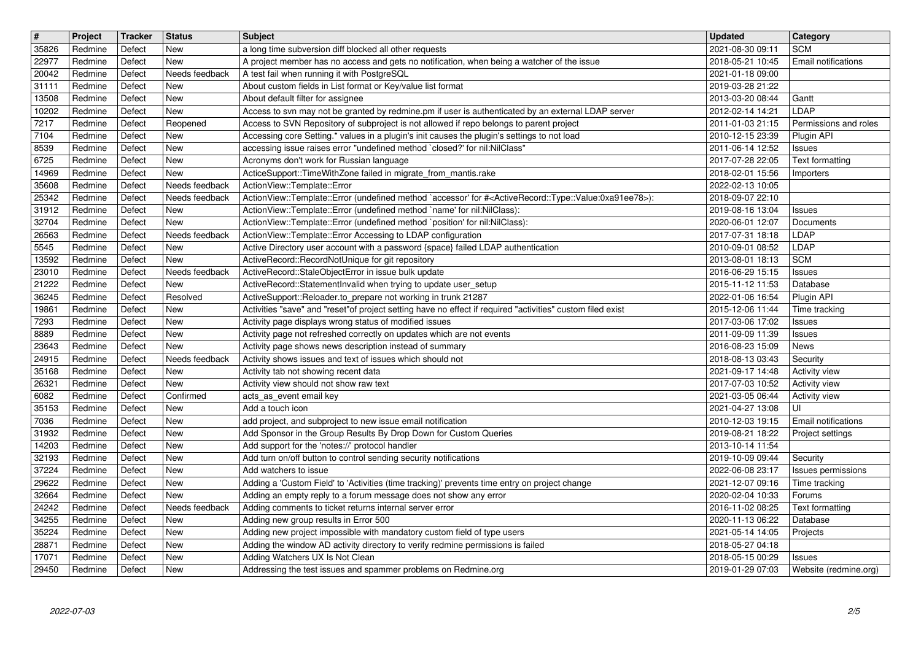| $\overline{\mathbf{t}}$<br>35826 | Project<br>Redmine | Tracker<br>Defect | <b>Status</b><br>New         | <b>Subject</b>                                                                                                                                                                         | <b>Updated</b><br>2021-08-30 09:11   | Category<br><b>SCM</b>              |
|----------------------------------|--------------------|-------------------|------------------------------|----------------------------------------------------------------------------------------------------------------------------------------------------------------------------------------|--------------------------------------|-------------------------------------|
| 22977                            | Redmine            | Defect            | <b>New</b>                   | a long time subversion diff blocked all other requests<br>A project member has no access and gets no notification, when being a watcher of the issue                                   | 2018-05-21 10:45                     | Email notifications                 |
| 20042                            | Redmine            | Defect            | Needs feedback               | A test fail when running it with PostgreSQL                                                                                                                                            | 2021-01-18 09:00                     |                                     |
| 31111<br>13508                   | Redmine<br>Redmine | Defect<br>Defect  | <b>New</b><br>New            | About custom fields in List format or Key/value list format<br>About default filter for assignee                                                                                       | 2019-03-28 21:22<br>2013-03-20 08:44 | Gantt                               |
| 10202                            | Redmine            | Defect            | <b>New</b>                   | Access to svn may not be granted by redmine.pm if user is authenticated by an external LDAP server                                                                                     | 2012-02-14 14:21                     | LDAP                                |
| 7217<br>7104                     | Redmine<br>Redmine | Defect<br>Defect  | Reopened<br>New              | Access to SVN Repository of subproject is not allowed if repo belongs to parent project<br>Accessing core Setting.* values in a plugin's init causes the plugin's settings to not load | 2011-01-03 21:15<br>2010-12-15 23:39 | Permissions and roles<br>Plugin API |
| 8539                             | Redmine            | Defect            | New                          | accessing issue raises error "undefined method `closed?' for nil:NilClass"                                                                                                             | 2011-06-14 12:52                     | Issues                              |
| 6725                             | Redmine            | Defect            | New                          | Acronyms don't work for Russian language                                                                                                                                               | 2017-07-28 22:05                     | Text formatting                     |
| 14969<br>35608                   | Redmine<br>Redmine | Defect<br>Defect  | <b>New</b><br>Needs feedback | ActiceSupport::TimeWithZone failed in migrate_from_mantis.rake<br>ActionView::Template::Error                                                                                          | 2018-02-01 15:56<br>2022-02-13 10:05 | Importers                           |
| 25342                            | Redmine            | Defect            | Needs feedback               | ActionView::Template::Error (undefined method `accessor' for # <activerecord::type::value:0xa91ee78>):</activerecord::type::value:0xa91ee78>                                           | 2018-09-07 22:10                     |                                     |
| 31912<br>32704                   | Redmine<br>Redmine | Defect<br>Defect  | New<br><b>New</b>            | ActionView::Template::Error (undefined method `name' for nil:NilClass):<br>ActionView::Template::Error (undefined method `position' for nil:NilClass):                                 | 2019-08-16 13:04<br>2020-06-01 12:07 | Issues<br>Documents                 |
| 26563                            | Redmine            | Defect            | Needs feedback               | ActionView::Template::Error Accessing to LDAP configuration                                                                                                                            | 2017-07-31 18:18                     | LDAP                                |
| 5545                             | Redmine            | Defect            | New                          | Active Directory user account with a password {space} failed LDAP authentication                                                                                                       | 2010-09-01 08:52                     | LDAP                                |
| 13592<br>23010                   | Redmine<br>Redmine | Defect<br>Defect  | <b>New</b><br>Needs feedback | ActiveRecord::RecordNotUnique for git repository<br>ActiveRecord::StaleObjectError in issue bulk update                                                                                | 2013-08-01 18:13<br>2016-06-29 15:15 | <b>SCM</b><br><b>Issues</b>         |
| 21222                            | Redmine            | Defect            | <b>New</b>                   | ActiveRecord::StatementInvalid when trying to update user_setup                                                                                                                        | 2015-11-12 11:53                     | Database                            |
| 36245<br>19861                   | Redmine<br>Redmine | Defect<br>Defect  | Resolved<br><b>New</b>       | ActiveSupport::Reloader.to_prepare not working in trunk 21287<br>Activities "save" and "reset"of project setting have no effect if required "activities" custom filed exist            | 2022-01-06 16:54<br>2015-12-06 11:44 | Plugin API<br>Time tracking         |
| 7293                             | Redmine            | Defect            | <b>New</b>                   | Activity page displays wrong status of modified issues                                                                                                                                 | 2017-03-06 17:02                     | Issues                              |
| 8889                             | Redmine            | Defect            | <b>New</b>                   | Activity page not refreshed correctly on updates which are not events                                                                                                                  | 2011-09-09 11:39                     | <b>Issues</b>                       |
| 23643<br>24915                   | Redmine<br>Redmine | Defect<br>Defect  | New<br>Needs feedback        | Activity page shows news description instead of summary<br>Activity shows issues and text of issues which should not                                                                   | 2016-08-23 15:09<br>2018-08-13 03:43 | News<br>Security                    |
| 35168                            | Redmine            | Defect            | New                          | Activity tab not showing recent data                                                                                                                                                   | 2021-09-17 14:48                     | <b>Activity view</b>                |
| 26321                            | Redmine            | Defect            | New<br>Confirmed             | Activity view should not show raw text                                                                                                                                                 | 2017-07-03 10:52                     | Activity view                       |
| 6082<br>35153                    | Redmine<br>Redmine | Defect<br>Defect  | <b>New</b>                   | acts_as_event email key<br>Add a touch icon                                                                                                                                            | 2021-03-05 06:44<br>2021-04-27 13:08 | <b>Activity view</b><br>UI          |
| 7036                             | Redmine            | Defect            | <b>New</b>                   | add project, and subproject to new issue email notification                                                                                                                            | 2010-12-03 19:15                     | Email notifications                 |
| 31932<br>14203                   | Redmine<br>Redmine | Defect<br>Defect  | <b>New</b><br>New            | Add Sponsor in the Group Results By Drop Down for Custom Queries<br>Add support for the 'notes://' protocol handler                                                                    | 2019-08-21 18:22<br>2013-10-14 11:54 | Project settings                    |
| 32193                            | Redmine            | Defect            | <b>New</b>                   | Add turn on/off button to control sending security notifications                                                                                                                       | 2019-10-09 09:44                     | Security                            |
| 37224                            | Redmine            | Defect            | New                          | Add watchers to issue                                                                                                                                                                  | 2022-06-08 23:17                     | Issues permissions                  |
| 29622<br>32664                   | Redmine<br>Redmine | Defect<br>Defect  | <b>New</b><br><b>New</b>     | Adding a 'Custom Field' to 'Activities (time tracking)' prevents time entry on project change<br>Adding an empty reply to a forum message does not show any error                      | 2021-12-07 09:16<br>2020-02-04 10:33 | Time tracking<br>Forums             |
| 24242                            | Redmine            | Defect            | Needs feedback               | Adding comments to ticket returns internal server error                                                                                                                                | 2016-11-02 08:25                     | Text formatting                     |
| 34255                            | Redmine            | Defect            | New                          | Adding new group results in Error 500                                                                                                                                                  | 2020-11-13 06:22                     | Database                            |
| 35224<br>28871                   | Redmine<br>Redmine | Defect<br>Defect  | <b>New</b><br>New            | Adding new project impossible with mandatory custom field of type users<br>Adding the window AD activity directory to verify redmine permissions is failed                             | 2021-05-14 14:05<br>2018-05-27 04:18 | Projects                            |
| 17071                            | Redmine            | Defect            | New                          | Adding Watchers UX Is Not Clean                                                                                                                                                        | 2018-05-15 00:29                     | Issues                              |
| 29450                            | Redmine            | Defect            | New                          | Addressing the test issues and spammer problems on Redmine.org                                                                                                                         | 2019-01-29 07:03                     | Website (redmine.org)               |
|                                  |                    |                   |                              |                                                                                                                                                                                        |                                      |                                     |
|                                  |                    |                   |                              |                                                                                                                                                                                        |                                      |                                     |
|                                  |                    |                   |                              |                                                                                                                                                                                        |                                      |                                     |
|                                  |                    |                   |                              |                                                                                                                                                                                        |                                      |                                     |
|                                  |                    |                   |                              |                                                                                                                                                                                        |                                      |                                     |
|                                  |                    |                   |                              |                                                                                                                                                                                        |                                      |                                     |
|                                  |                    |                   |                              |                                                                                                                                                                                        |                                      |                                     |
|                                  |                    |                   |                              |                                                                                                                                                                                        |                                      |                                     |
|                                  |                    |                   |                              |                                                                                                                                                                                        |                                      |                                     |
|                                  |                    |                   |                              |                                                                                                                                                                                        |                                      |                                     |
|                                  |                    |                   |                              |                                                                                                                                                                                        |                                      |                                     |
|                                  |                    |                   |                              |                                                                                                                                                                                        |                                      |                                     |
|                                  |                    |                   |                              |                                                                                                                                                                                        |                                      |                                     |
|                                  |                    |                   |                              |                                                                                                                                                                                        |                                      |                                     |
|                                  |                    |                   |                              |                                                                                                                                                                                        |                                      |                                     |
|                                  |                    |                   |                              |                                                                                                                                                                                        |                                      |                                     |
|                                  |                    |                   |                              |                                                                                                                                                                                        |                                      |                                     |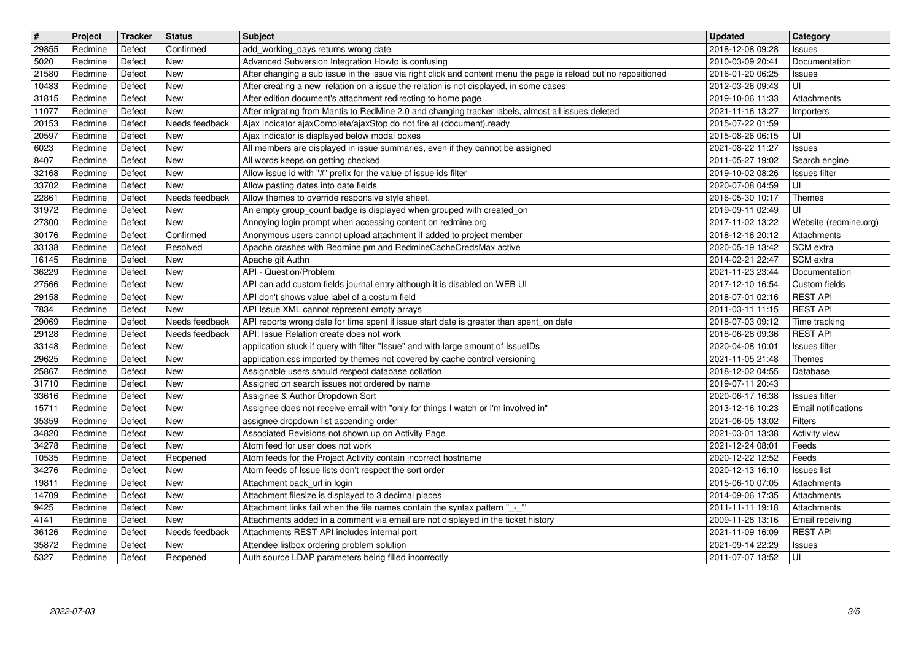| $\boxed{\texttt{#}}$ | Project            | Tracker          | <b>Status</b>         | <b>Subject</b>                                                                                                                                                    | <b>Updated</b>                                         | Category                                |
|----------------------|--------------------|------------------|-----------------------|-------------------------------------------------------------------------------------------------------------------------------------------------------------------|--------------------------------------------------------|-----------------------------------------|
| 29855<br>5020        | Redmine<br>Redmine | Defect<br>Defect | Confirmed<br>New      | add_working_days returns wrong date<br>Advanced Subversion Integration Howto is confusing                                                                         | 2018-12-08 09:28<br>2010-03-09 20:41                   | <b>Issues</b><br>Documentation          |
| 21580                | Redmine            | Defect           | New                   | After changing a sub issue in the issue via right click and content menu the page is reload but no repositioned                                                   | 2016-01-20 06:25                                       | <b>Issues</b>                           |
| 10483                | Redmine            | Defect           | New                   | After creating a new relation on a issue the relation is not displayed, in some cases                                                                             | 2012-03-26 09:43                                       | UI                                      |
| 31815<br>11077       | Redmine<br>Redmine | Defect<br>Defect | New<br>New            | After edition document's attachment redirecting to home page<br>After migrating from Mantis to RedMine 2.0 and changing tracker labels, almost all issues deleted | 2019-10-06 11:33<br>2021-11-16 13:27                   | Attachments<br>Importers                |
| 20153                | Redmine            | Defect           | Needs feedback        | Ajax indicator ajaxComplete/ajaxStop do not fire at (document).ready                                                                                              | 2015-07-22 01:59                                       |                                         |
| 20597                | Redmine            | Defect           | New                   | Ajax indicator is displayed below modal boxes                                                                                                                     | 2015-08-26 06:15                                       | UI                                      |
| 6023<br>8407         | Redmine<br>Redmine | Defect<br>Defect | New<br>New            | All members are displayed in issue summaries, even if they cannot be assigned<br>All words keeps on getting checked                                               | 2021-08-22 11:27<br>2011-05-27 19:02                   | <b>Issues</b><br>Search engine          |
| 32168                | Redmine            | Defect           | New                   | Allow issue id with "#" prefix for the value of issue ids filter                                                                                                  | 2019-10-02 08:26                                       | Issues filter                           |
| 33702<br>22861       | Redmine<br>Redmine | Defect<br>Defect | New<br>Needs feedback | Allow pasting dates into date fields<br>Allow themes to override responsive style sheet.                                                                          | 2020-07-08 04:59<br>2016-05-30 10:17                   | UI<br>Themes                            |
| 31972                | Redmine            | Defect           | New                   | An empty group_count badge is displayed when grouped with created_on                                                                                              | 2019-09-11 02:49                                       | UI                                      |
| 27300                | Redmine            | Defect           | New                   | Annoying login prompt when accessing content on redmine.org                                                                                                       | 2017-11-02 13:22                                       | Website (redmine.org)                   |
| 30176<br>33138       | Redmine<br>Redmine | Defect<br>Defect | Confirmed<br>Resolved | Anonymous users cannot upload attachment if added to project member<br>Apache crashes with Redmine.pm and RedmineCacheCredsMax active                             | 2018-12-16 20:12<br>2020-05-19 13:42                   | Attachments<br>SCM extra                |
| 16145                | Redmine            | Defect           | New                   | Apache git Authn                                                                                                                                                  | 2014-02-21 22:47                                       | SCM extra                               |
| 36229                | Redmine            | Defect           | New                   | API - Question/Problem                                                                                                                                            | 2021-11-23 23:44                                       | Documentation                           |
| 27566<br>29158       | Redmine<br>Redmine | Defect<br>Defect | New<br>New            | API can add custom fields journal entry although it is disabled on WEB UI<br>API don't shows value label of a costum field                                        | 2017-12-10 16:54<br>2018-07-01 02:16                   | Custom fields<br><b>REST API</b>        |
| 7834                 | Redmine            | Defect           | New                   | API Issue XML cannot represent empty arrays                                                                                                                       | 2011-03-11 11:15                                       | <b>REST API</b>                         |
| 29069                | Redmine            | Defect           | Needs feedback        | API reports wrong date for time spent if issue start date is greater than spent_on date                                                                           | 2018-07-03 09:12                                       | Time tracking                           |
| 29128<br>33148       | Redmine<br>Redmine | Defect<br>Defect | Needs feedback<br>New | API: Issue Relation create does not work<br>application stuck if query with filter "Issue" and with large amount of IssueIDs                                      | 2018-06-28 09:36<br>2020-04-08 10:01                   | <b>REST API</b><br><b>Issues</b> filter |
| 29625                | Redmine            | Defect           | New                   | application.css imported by themes not covered by cache control versioning                                                                                        | 2021-11-05 21:48                                       | Themes                                  |
| 25867                | Redmine            | Defect           | New                   | Assignable users should respect database collation                                                                                                                | 2018-12-02 04:55                                       | Database                                |
| 31710<br>33616       | Redmine<br>Redmine | Defect<br>Defect | New<br>New            | Assigned on search issues not ordered by name<br>Assignee & Author Dropdown Sort                                                                                  | 2019-07-11 20:43<br>2020-06-17 16:38                   | <b>Issues</b> filter                    |
| 15711                | Redmine            | Defect           | New                   | Assignee does not receive email with "only for things I watch or I'm involved in"                                                                                 | 2013-12-16 10:23                                       | Email notifications                     |
| 35359                | Redmine            | Defect           | New                   | assignee dropdown list ascending order                                                                                                                            | 2021-06-05 13:02                                       | Filters                                 |
| 34820<br>34278       | Redmine<br>Redmine | Defect<br>Defect | New<br>New            | Associated Revisions not shown up on Activity Page<br>Atom feed for user does not work                                                                            | 2021-03-01 13:38<br>2021-12-24 08:01                   | Activity view<br>Feeds                  |
| 10535                | Redmine            | Defect           | Reopened              | Atom feeds for the Project Activity contain incorrect hostname                                                                                                    | 2020-12-22 12:52                                       | Feeds                                   |
| 34276                | Redmine            | Defect           | New                   | Atom feeds of Issue lists don't respect the sort order                                                                                                            | 2020-12-13 16:10                                       | <b>Issues list</b>                      |
| 19811<br>14709       | Redmine<br>Redmine | Defect<br>Defect | New<br>New            | Attachment back_url in login<br>Attachment filesize is displayed to 3 decimal places                                                                              | 2015-06-10 07:05<br>2014-09-06 17:35                   | Attachments<br>Attachments              |
| 9425                 | Redmine            | Defect           | New                   | Attachment links fail when the file names contain the syntax pattern "_-_"                                                                                        | 2011-11-11 19:18                                       | Attachments                             |
| 4141<br>36126        | Redmine<br>Redmine | Defect<br>Defect | New<br>Needs feedback | Attachments added in a comment via email are not displayed in the ticket history<br>Attachments REST API includes internal port                                   | 2009-11-28 13:16   Email receiving<br>2021-11-09 16:09 | <b>REST API</b>                         |
| 35872                | Redmine            | Defect           | New                   | Attendee listbox ordering problem solution                                                                                                                        | 2021-09-14 22:29                                       | <b>Issues</b>                           |
| 5327                 | Redmine            | Defect           | Reopened              | Auth source LDAP parameters being filled incorrectly                                                                                                              | 2011-07-07 13:52                                       | l UI                                    |
|                      |                    |                  |                       |                                                                                                                                                                   |                                                        |                                         |
|                      |                    |                  |                       |                                                                                                                                                                   |                                                        |                                         |
|                      |                    |                  |                       |                                                                                                                                                                   |                                                        |                                         |
|                      |                    |                  |                       |                                                                                                                                                                   |                                                        |                                         |
|                      |                    |                  |                       |                                                                                                                                                                   |                                                        |                                         |
|                      |                    |                  |                       |                                                                                                                                                                   |                                                        |                                         |
|                      |                    |                  |                       |                                                                                                                                                                   |                                                        |                                         |
|                      |                    |                  |                       |                                                                                                                                                                   |                                                        |                                         |
|                      |                    |                  |                       |                                                                                                                                                                   |                                                        |                                         |
|                      |                    |                  |                       |                                                                                                                                                                   |                                                        |                                         |
|                      |                    |                  |                       |                                                                                                                                                                   |                                                        |                                         |
|                      |                    |                  |                       |                                                                                                                                                                   |                                                        |                                         |
|                      |                    |                  |                       |                                                                                                                                                                   |                                                        |                                         |
|                      |                    |                  |                       |                                                                                                                                                                   |                                                        |                                         |
|                      |                    |                  |                       |                                                                                                                                                                   |                                                        |                                         |
|                      |                    |                  |                       |                                                                                                                                                                   |                                                        |                                         |
|                      |                    |                  |                       |                                                                                                                                                                   |                                                        |                                         |
|                      |                    |                  |                       |                                                                                                                                                                   |                                                        |                                         |
|                      |                    |                  |                       |                                                                                                                                                                   |                                                        |                                         |
|                      |                    |                  |                       |                                                                                                                                                                   |                                                        |                                         |
|                      |                    |                  |                       |                                                                                                                                                                   |                                                        |                                         |
|                      |                    |                  |                       |                                                                                                                                                                   |                                                        |                                         |
|                      |                    |                  |                       |                                                                                                                                                                   |                                                        |                                         |
|                      |                    |                  |                       |                                                                                                                                                                   |                                                        |                                         |
|                      |                    |                  |                       |                                                                                                                                                                   |                                                        |                                         |
|                      |                    |                  |                       |                                                                                                                                                                   |                                                        |                                         |
|                      |                    |                  |                       |                                                                                                                                                                   |                                                        |                                         |
|                      |                    |                  |                       |                                                                                                                                                                   |                                                        |                                         |
|                      |                    |                  |                       |                                                                                                                                                                   |                                                        |                                         |
|                      |                    |                  |                       |                                                                                                                                                                   |                                                        |                                         |
|                      |                    |                  |                       |                                                                                                                                                                   |                                                        |                                         |
|                      |                    |                  |                       |                                                                                                                                                                   |                                                        |                                         |
|                      |                    |                  |                       |                                                                                                                                                                   |                                                        |                                         |
|                      |                    |                  |                       |                                                                                                                                                                   |                                                        |                                         |
|                      |                    |                  |                       |                                                                                                                                                                   |                                                        |                                         |
|                      |                    |                  |                       |                                                                                                                                                                   |                                                        |                                         |
|                      |                    |                  |                       |                                                                                                                                                                   |                                                        |                                         |
|                      |                    |                  |                       |                                                                                                                                                                   |                                                        |                                         |
|                      |                    |                  |                       |                                                                                                                                                                   |                                                        |                                         |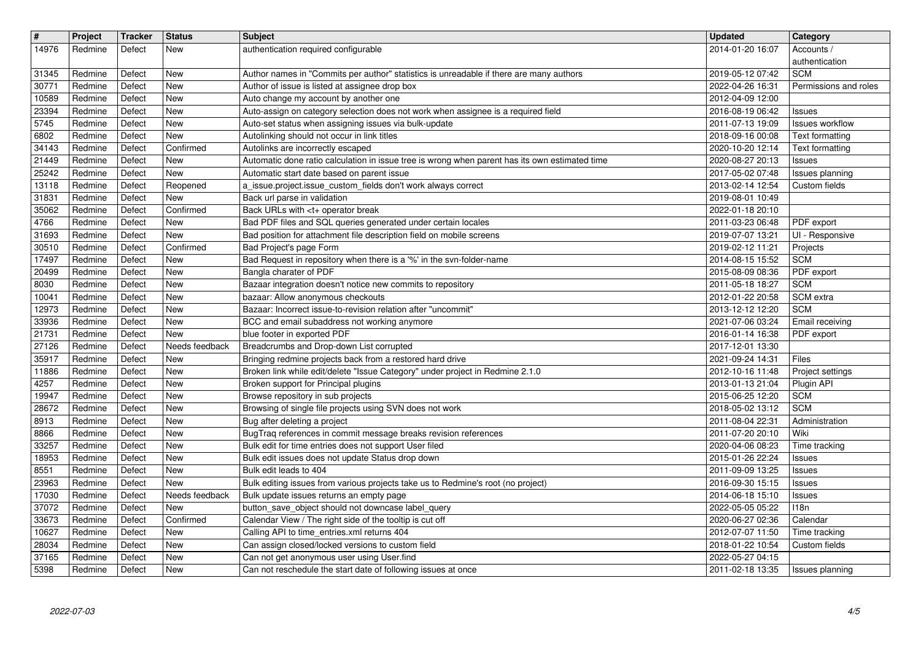| $\sqrt{t}$<br>14976 | Project            | <b>Tracker</b>   | Status                   | <b>Subject</b>                                                                                                                             | <b>Updated</b>                       | Category                                |
|---------------------|--------------------|------------------|--------------------------|--------------------------------------------------------------------------------------------------------------------------------------------|--------------------------------------|-----------------------------------------|
|                     | Redmine            | Defect           | New                      | authentication required configurable                                                                                                       | 2014-01-20 16:07                     | Accounts /<br>authentication            |
| 31345<br>30771      | Redmine<br>Redmine | Defect<br>Defect | <b>New</b><br>New        | Author names in "Commits per author" statistics is unreadable if there are many authors<br>Author of issue is listed at assignee drop box  | 2019-05-12 07:42<br>2022-04-26 16:31 | <b>SCM</b><br>Permissions and roles     |
| 10589               | Redmine            | Defect           | <b>New</b>               | Auto change my account by another one                                                                                                      | 2012-04-09 12:00                     |                                         |
| 23394<br>5745       | Redmine<br>Redmine | Defect<br>Defect | <b>New</b><br>New        | Auto-assign on category selection does not work when assignee is a required field<br>Auto-set status when assigning issues via bulk-update | 2016-08-19 06:42<br>2011-07-13 19:09 | <b>Issues</b><br><b>Issues workflow</b> |
| 6802                | Redmine            | Defect           | New                      | Autolinking should not occur in link titles                                                                                                | 2018-09-16 00:08                     | Text formatting                         |
| 34143<br>21449      | Redmine<br>Redmine | Defect<br>Defect | Confirmed<br><b>New</b>  | Autolinks are incorrectly escaped<br>Automatic done ratio calculation in issue tree is wrong when parent has its own estimated time        | 2020-10-20 12:14<br>2020-08-27 20:13 | Text formatting                         |
| 25242               | Redmine            | Defect           | <b>New</b>               | Automatic start date based on parent issue                                                                                                 | 2017-05-02 07:48                     | <b>Issues</b><br>Issues planning        |
| 13118<br>31831      | Redmine<br>Redmine | Defect<br>Defect | Reopened<br><b>New</b>   | a_issue.project.issue_custom_fields don't work always correct<br>Back url parse in validation                                              | 2013-02-14 12:54<br>2019-08-01 10:49 | Custom fields                           |
| 35062               | Redmine            | Defect           | Confirmed                | Back URLs with <t+ break<="" operator="" td=""><td>2022-01-18 20:10</td><td></td></t+>                                                     | 2022-01-18 20:10                     |                                         |
| 4766<br>31693       | Redmine<br>Redmine | Defect<br>Defect | <b>New</b><br>New        | Bad PDF files and SQL queries generated under certain locales<br>Bad position for attachment file description field on mobile screens      | 2011-03-23 06:48                     | PDF export<br>UI - Responsive           |
| 30510               | Redmine            | Defect           | Confirmed                | Bad Project's page Form                                                                                                                    | 2019-07-07 13:21<br>2019-02-12 11:21 | Projects                                |
| 17497               | Redmine            | Defect           | New<br><b>New</b>        | Bad Request in repository when there is a '%' in the svn-folder-name<br>Bangla charater of PDF                                             | 2014-08-15 15:52                     | <b>SCM</b>                              |
| 20499<br>8030       | Redmine<br>Redmine | Defect<br>Defect | <b>New</b>               | Bazaar integration doesn't notice new commits to repository                                                                                | 2015-08-09 08:36<br>2011-05-18 18:27 | PDF export<br><b>SCM</b>                |
| 10041               | Redmine            | Defect           | <b>New</b><br><b>New</b> | bazaar: Allow anonymous checkouts<br>Bazaar: Incorrect issue-to-revision relation after "uncommit"                                         | 2012-01-22 20:58                     | SCM extra<br><b>SCM</b>                 |
| 12973<br>33936      | Redmine<br>Redmine | Defect<br>Defect | <b>New</b>               | BCC and email subaddress not working anymore                                                                                               | 2013-12-12 12:20<br>2021-07-06 03:24 | Email receiving                         |
| 21731               | Redmine            | Defect           | <b>New</b>               | blue footer in exported PDF                                                                                                                | 2016-01-14 16:38                     | PDF export                              |
| 27126<br>35917      | Redmine<br>Redmine | Defect<br>Defect | Needs feedback<br>New    | Breadcrumbs and Drop-down List corrupted<br>Bringing redmine projects back from a restored hard drive                                      | 2017-12-01 13:30<br>2021-09-24 14:31 | Files                                   |
| 11886               | Redmine            | Defect           | <b>New</b>               | Broken link while edit/delete "Issue Category" under project in Redmine 2.1.0                                                              | 2012-10-16 11:48                     | Project settings                        |
| 4257<br>19947       | Redmine<br>Redmine | Defect<br>Defect | <b>New</b><br>New        | Broken support for Principal plugins<br>Browse repository in sub projects                                                                  | 2013-01-13 21:04<br>2015-06-25 12:20 | Plugin API<br><b>SCM</b>                |
| 28672               | Redmine            | Defect           | <b>New</b>               | Browsing of single file projects using SVN does not work                                                                                   | 2018-05-02 13:12                     | <b>SCM</b>                              |
| 8913<br>8866        | Redmine<br>Redmine | Defect<br>Defect | <b>New</b><br><b>New</b> | Bug after deleting a project<br>BugTraq references in commit message breaks revision references                                            | 2011-08-04 22:31<br>2011-07-20 20:10 | Administration<br>Wiki                  |
| 33257               | Redmine            | Defect           | New                      | Bulk edit for time entries does not support User filed                                                                                     | 2020-04-06 08:23                     | Time tracking                           |
| 18953<br>8551       | Redmine<br>Redmine | Defect<br>Defect | New<br>New               | Bulk edit issues does not update Status drop down<br>Bulk edit leads to 404                                                                | 2015-01-26 22:24<br>2011-09-09 13:25 | Issues<br><b>Issues</b>                 |
| 23963               | Redmine            | Defect           | New                      | Bulk editing issues from various projects take us to Redmine's root (no project)                                                           | 2016-09-30 15:15                     | <b>Issues</b>                           |
| 17030<br>37072      | Redmine<br>Redmine | Defect<br>Defect | Needs feedback<br>New    | Bulk update issues returns an empty page<br>button_save_object should not downcase label_query                                             | 2014-06-18 15:10<br>2022-05-05 05:22 | <b>Issues</b><br>118n                   |
| 33673               | Redmine            | Defect           | Confirmed                | Calendar View / The right side of the tooltip is cut off                                                                                   | 2020-06-27 02:36                     | Calendar                                |
| 10627<br>28034      | Redmine<br>Redmine | Defect<br>Defect | <b>New</b><br>New        | Calling API to time_entries.xml returns 404<br>Can assign closed/locked versions to custom field                                           | 2012-07-07 11:50<br>2018-01-22 10:54 | Time tracking<br>Custom fields          |
| 37165               | Redmine            | Defect           | <b>New</b>               | Can not get anonymous user using User.find                                                                                                 | 2022-05-27 04:15                     |                                         |
| 5398                | Redmine            | Defect           | New                      | Can not reschedule the start date of following issues at once                                                                              | 2011-02-18 13:35                     | Issues planning                         |
|                     |                    |                  |                          |                                                                                                                                            |                                      |                                         |
|                     |                    |                  |                          |                                                                                                                                            |                                      |                                         |
|                     |                    |                  |                          |                                                                                                                                            |                                      |                                         |
|                     |                    |                  |                          |                                                                                                                                            |                                      |                                         |
|                     |                    |                  |                          |                                                                                                                                            |                                      |                                         |
|                     |                    |                  |                          |                                                                                                                                            |                                      |                                         |
|                     |                    |                  |                          |                                                                                                                                            |                                      |                                         |
|                     |                    |                  |                          |                                                                                                                                            |                                      |                                         |